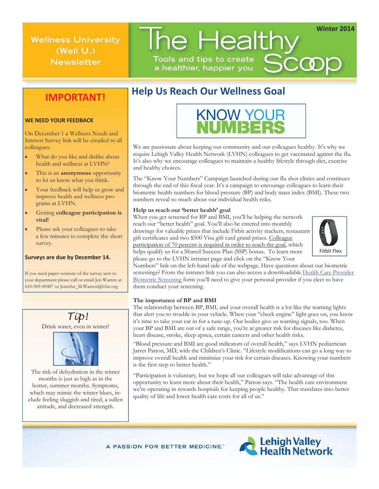**Winter 2014**

Scoop

**Wellness University** (Well  $U$ .) **Newsletter** 

**IMPORTANT!**

## **Help Us Reach Our Wellness Goal**

Tools and tips to create

a healthier, happier you

The Healthy



We are passionate about keeping our community and our colleagues healthy. It's why we require Lehigh Valley Health Network (LVHN) colleagues to get vaccinated against the flu. It's also why we encourage colleagues to maintain a healthy lifestyle through diet, exercise and healthy choices.

The "Know Your Numbers" Campaign launched during our flu shot clinics and continues through the end of this fiscal year. It's a campaign to encourage colleagues to learn their biometric health numbers for blood pressure (BP) and body mass index (BMI). These two numbers reveal so much about our individual health risks.

### **Help us reach our 'better health' goal**

When you get screened for BP and BMI, you'll be helping the network reach our "better health" goal. You'll also be entered into monthly drawings for valuable prizes that include Fitbit activity trackers, restaurant gift certificates and two \$500 Visa gift card grand prizes. Colleague participation of 70 percent is required in order to reach the goal, which helps qualify us for a Shared Success Plan (SSP) bonus. To learn more please go to the LVHN intranet page and click on the "Know Your



Numbers" link on the left-hand side of the webpage. Have questions about our biometric screenings? From the intranet link you can also access a downloadable Health Care Provider Biometric Screening form you'll need to give your personal provider if you elect to have them conduct your screening.

### **The importance of BP and BMI**

The relationship between BP, BMI, and your overall health is a lot like the warning lights that alert you to trouble in your vehicle. When your "check engine" light goes on, you know it's time to take your car in for a tune-up. Our bodies give us warning signals, too. When your BP and BMI are out of a safe range, you're at greater risk for diseases like diabetes, heart disease, stroke, sleep apnea, certain cancers and other health risks.

"Blood pressure and BMI are good indicators of overall health," says LVHN pediatrician Jarret Patton, MD, with the Children's Clinic. "Lifestyle modifications can go a long way to improve overall health and minimize your risk for certain diseases. Knowing your numbers is the first step to better health."

"Participation is voluntary, but we hope all our colleagues will take advantage of this opportunity to learn more about their health," Patton says. "The health care environment we're operating in rewards hospitals for keeping people healthy. That translates into better quality of life and lower health care costs for all of us."

A PASSION FOR BETTER MEDICINE."



### On December 1 a Wellness Needs and

Interest Survey link will be emailed to all colleagues.

**WE NEED YOUR FEEDBACK**

- **What do you like and dislike about** health and wellness at LVHN?
- This is an **anonymous** opportunity to let us know what you think.
- Your feedback will help us grow and improve health and wellness programs at LVHN.
- Getting **colleague participation is vital!**
- Please ask your colleagues to take a few minutes to complete the short survey.

### **Surveys are due by December 14.**

If you need paper versions of the survey sent to your department please call or email Jen Warren at 610-969-00487 or Jennifer\_M.Warren@lvhn.org



months is just as high as in the hotter, summer months. Symptoms, which may mimic the winter blues, include feeling sluggish and tired, a sullen attitude, and decreased strength.